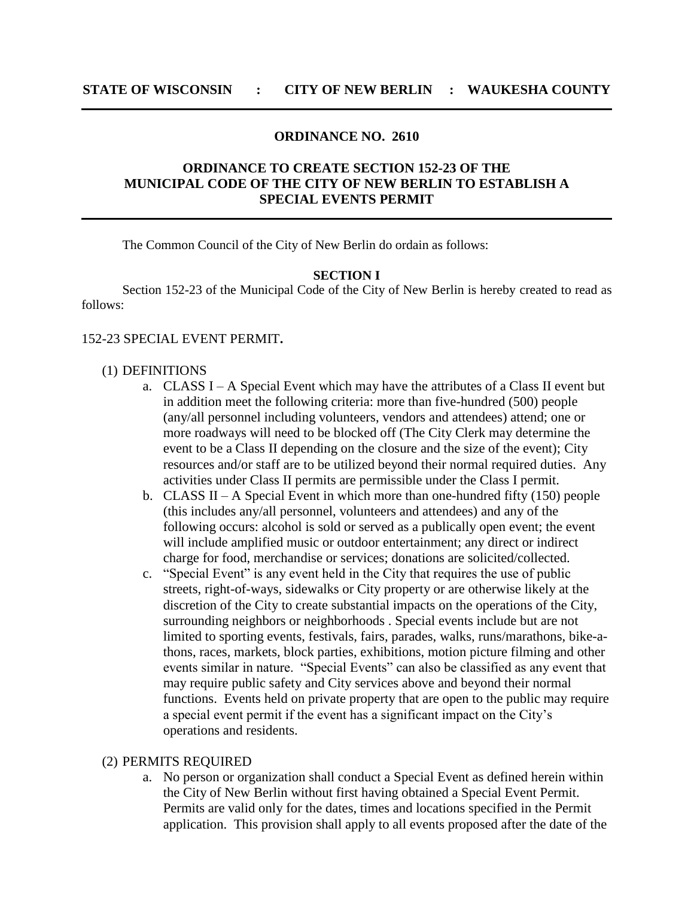## **ORDINANCE NO. 2610**

# **ORDINANCE TO CREATE SECTION 152-23 OF THE MUNICIPAL CODE OF THE CITY OF NEW BERLIN TO ESTABLISH A SPECIAL EVENTS PERMIT**

The Common Council of the City of New Berlin do ordain as follows:

### **SECTION I**

Section 152-23 of the Municipal Code of the City of New Berlin is hereby created to read as follows:

### 152-23 SPECIAL EVENT PERMIT**.**

#### (1) DEFINITIONS

- a. CLASS I A Special Event which may have the attributes of a Class II event but in addition meet the following criteria: more than five-hundred (500) people (any/all personnel including volunteers, vendors and attendees) attend; one or more roadways will need to be blocked off (The City Clerk may determine the event to be a Class II depending on the closure and the size of the event); City resources and/or staff are to be utilized beyond their normal required duties. Any activities under Class II permits are permissible under the Class I permit.
- b. CLASS II A Special Event in which more than one-hundred fifty (150) people (this includes any/all personnel, volunteers and attendees) and any of the following occurs: alcohol is sold or served as a publically open event; the event will include amplified music or outdoor entertainment; any direct or indirect charge for food, merchandise or services; donations are solicited/collected.
- c. "Special Event" is any event held in the City that requires the use of public streets, right-of-ways, sidewalks or City property or are otherwise likely at the discretion of the City to create substantial impacts on the operations of the City, surrounding neighbors or neighborhoods . Special events include but are not limited to sporting events, festivals, fairs, parades, walks, runs/marathons, bike-athons, races, markets, block parties, exhibitions, motion picture filming and other events similar in nature. "Special Events" can also be classified as any event that may require public safety and City services above and beyond their normal functions. Events held on private property that are open to the public may require a special event permit if the event has a significant impact on the City's operations and residents.

#### (2) PERMITS REQUIRED

a. No person or organization shall conduct a Special Event as defined herein within the City of New Berlin without first having obtained a Special Event Permit. Permits are valid only for the dates, times and locations specified in the Permit application. This provision shall apply to all events proposed after the date of the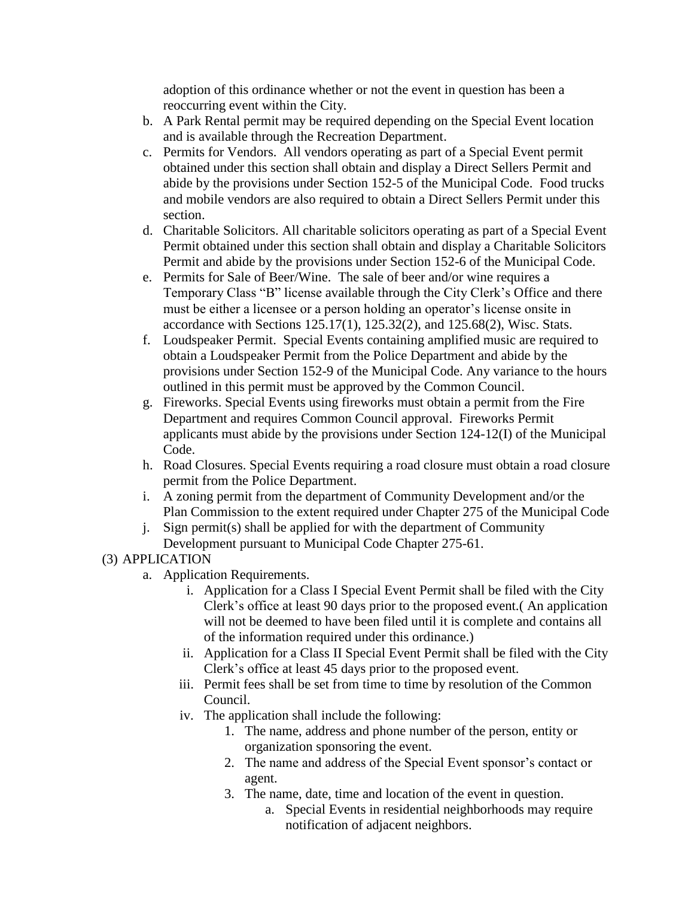adoption of this ordinance whether or not the event in question has been a reoccurring event within the City.

- b. A Park Rental permit may be required depending on the Special Event location and is available through the Recreation Department.
- c. Permits for Vendors. All vendors operating as part of a Special Event permit obtained under this section shall obtain and display a Direct Sellers Permit and abide by the provisions under Section 152-5 of the Municipal Code. Food trucks and mobile vendors are also required to obtain a Direct Sellers Permit under this section.
- d. Charitable Solicitors. All charitable solicitors operating as part of a Special Event Permit obtained under this section shall obtain and display a Charitable Solicitors Permit and abide by the provisions under Section 152-6 of the Municipal Code.
- e. Permits for Sale of Beer/Wine. The sale of beer and/or wine requires a Temporary Class "B" license available through the City Clerk's Office and there must be either a licensee or a person holding an operator's license onsite in accordance with Sections 125.17(1), 125.32(2), and 125.68(2), Wisc. Stats.
- f. Loudspeaker Permit. Special Events containing amplified music are required to obtain a Loudspeaker Permit from the Police Department and abide by the provisions under Section 152-9 of the Municipal Code. Any variance to the hours outlined in this permit must be approved by the Common Council.
- g. Fireworks. Special Events using fireworks must obtain a permit from the Fire Department and requires Common Council approval. Fireworks Permit applicants must abide by the provisions under Section 124-12(I) of the Municipal Code.
- h. Road Closures. Special Events requiring a road closure must obtain a road closure permit from the Police Department.
- i. A zoning permit from the department of Community Development and/or the Plan Commission to the extent required under Chapter 275 of the Municipal Code
- j. Sign permit(s) shall be applied for with the department of Community Development pursuant to Municipal Code Chapter 275-61.

# (3) APPLICATION

- a. Application Requirements.
	- i. Application for a Class I Special Event Permit shall be filed with the City Clerk's office at least 90 days prior to the proposed event.( An application will not be deemed to have been filed until it is complete and contains all of the information required under this ordinance.)
	- ii. Application for a Class II Special Event Permit shall be filed with the City Clerk's office at least 45 days prior to the proposed event.
	- iii. Permit fees shall be set from time to time by resolution of the Common Council.
	- iv. The application shall include the following:
		- 1. The name, address and phone number of the person, entity or organization sponsoring the event.
		- 2. The name and address of the Special Event sponsor's contact or agent.
		- 3. The name, date, time and location of the event in question.
			- a. Special Events in residential neighborhoods may require notification of adjacent neighbors.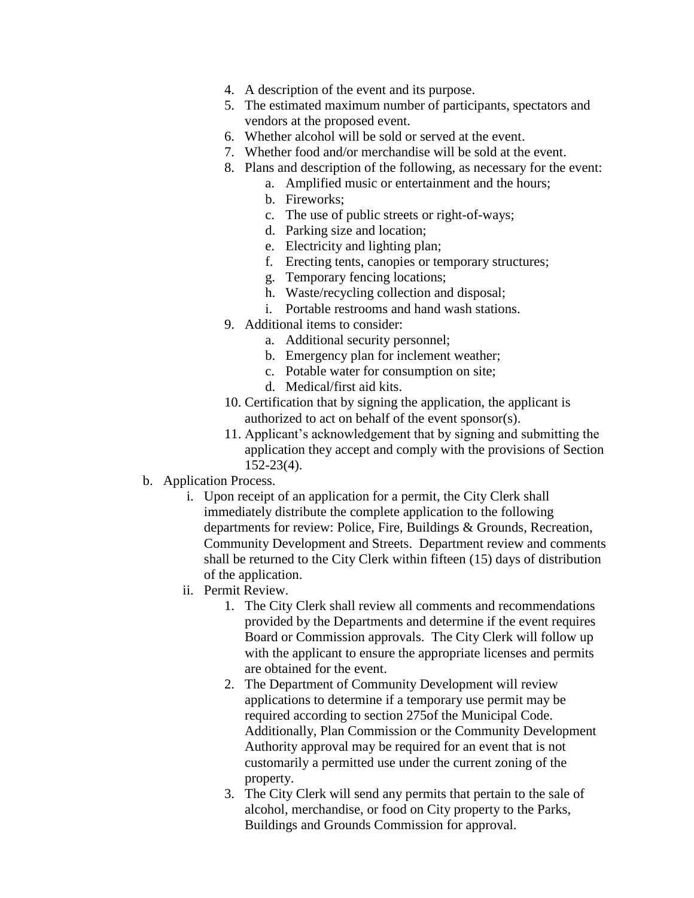- 4. A description of the event and its purpose.
- 5. The estimated maximum number of participants, spectators and vendors at the proposed event.
- 6. Whether alcohol will be sold or served at the event.
- 7. Whether food and/or merchandise will be sold at the event.
- 8. Plans and description of the following, as necessary for the event:
	- a. Amplified music or entertainment and the hours;
	- b. Fireworks;
	- c. The use of public streets or right-of-ways;
	- d. Parking size and location;
	- e. Electricity and lighting plan;
	- f. Erecting tents, canopies or temporary structures;
	- g. Temporary fencing locations;
	- h. Waste/recycling collection and disposal;
	- i. Portable restrooms and hand wash stations.
- 9. Additional items to consider:
	- a. Additional security personnel;
	- b. Emergency plan for inclement weather;
	- c. Potable water for consumption on site;
	- d. Medical/first aid kits.
- 10. Certification that by signing the application, the applicant is authorized to act on behalf of the event sponsor(s).
- 11. Applicant's acknowledgement that by signing and submitting the application they accept and comply with the provisions of Section 152-23(4).
- b. Application Process.
	- i. Upon receipt of an application for a permit, the City Clerk shall immediately distribute the complete application to the following departments for review: Police, Fire, Buildings & Grounds, Recreation, Community Development and Streets. Department review and comments shall be returned to the City Clerk within fifteen (15) days of distribution of the application.
	- ii. Permit Review.
		- 1. The City Clerk shall review all comments and recommendations provided by the Departments and determine if the event requires Board or Commission approvals. The City Clerk will follow up with the applicant to ensure the appropriate licenses and permits are obtained for the event.
		- 2. The Department of Community Development will review applications to determine if a temporary use permit may be required according to section 275of the Municipal Code. Additionally, Plan Commission or the Community Development Authority approval may be required for an event that is not customarily a permitted use under the current zoning of the property.
		- 3. The City Clerk will send any permits that pertain to the sale of alcohol, merchandise, or food on City property to the Parks, Buildings and Grounds Commission for approval.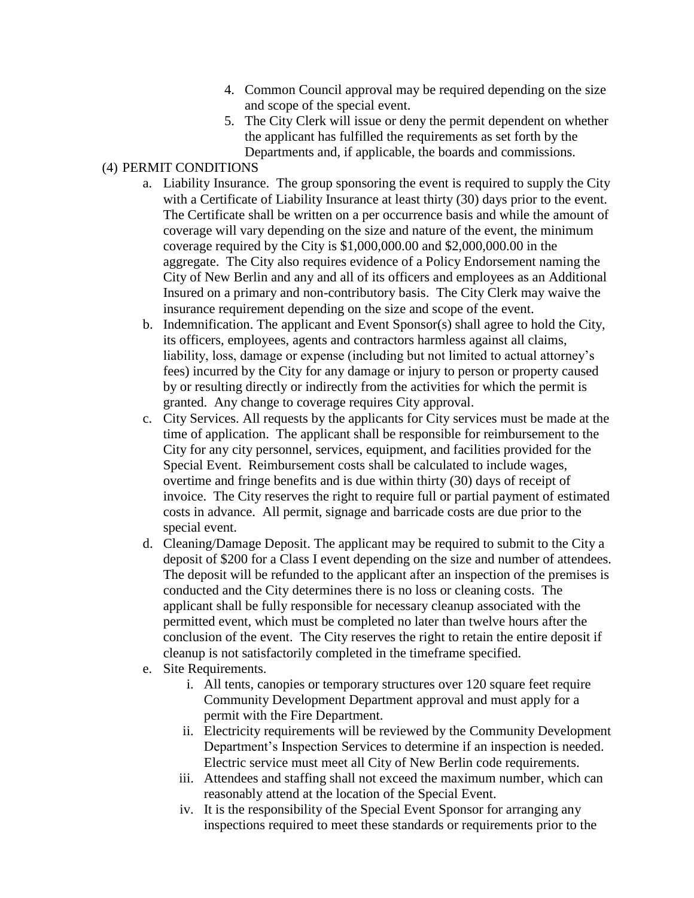- 4. Common Council approval may be required depending on the size and scope of the special event.
- 5. The City Clerk will issue or deny the permit dependent on whether the applicant has fulfilled the requirements as set forth by the Departments and, if applicable, the boards and commissions.

# (4) PERMIT CONDITIONS

- a. Liability Insurance. The group sponsoring the event is required to supply the City with a Certificate of Liability Insurance at least thirty (30) days prior to the event. The Certificate shall be written on a per occurrence basis and while the amount of coverage will vary depending on the size and nature of the event, the minimum coverage required by the City is \$1,000,000.00 and \$2,000,000.00 in the aggregate. The City also requires evidence of a Policy Endorsement naming the City of New Berlin and any and all of its officers and employees as an Additional Insured on a primary and non-contributory basis. The City Clerk may waive the insurance requirement depending on the size and scope of the event.
- b. Indemnification. The applicant and Event Sponsor(s) shall agree to hold the City, its officers, employees, agents and contractors harmless against all claims, liability, loss, damage or expense (including but not limited to actual attorney's fees) incurred by the City for any damage or injury to person or property caused by or resulting directly or indirectly from the activities for which the permit is granted. Any change to coverage requires City approval.
- c. City Services. All requests by the applicants for City services must be made at the time of application. The applicant shall be responsible for reimbursement to the City for any city personnel, services, equipment, and facilities provided for the Special Event. Reimbursement costs shall be calculated to include wages, overtime and fringe benefits and is due within thirty (30) days of receipt of invoice. The City reserves the right to require full or partial payment of estimated costs in advance. All permit, signage and barricade costs are due prior to the special event.
- d. Cleaning/Damage Deposit. The applicant may be required to submit to the City a deposit of \$200 for a Class I event depending on the size and number of attendees. The deposit will be refunded to the applicant after an inspection of the premises is conducted and the City determines there is no loss or cleaning costs. The applicant shall be fully responsible for necessary cleanup associated with the permitted event, which must be completed no later than twelve hours after the conclusion of the event. The City reserves the right to retain the entire deposit if cleanup is not satisfactorily completed in the timeframe specified.
- e. Site Requirements.
	- i. All tents, canopies or temporary structures over 120 square feet require Community Development Department approval and must apply for a permit with the Fire Department.
	- ii. Electricity requirements will be reviewed by the Community Development Department's Inspection Services to determine if an inspection is needed. Electric service must meet all City of New Berlin code requirements.
	- iii. Attendees and staffing shall not exceed the maximum number, which can reasonably attend at the location of the Special Event.
	- iv. It is the responsibility of the Special Event Sponsor for arranging any inspections required to meet these standards or requirements prior to the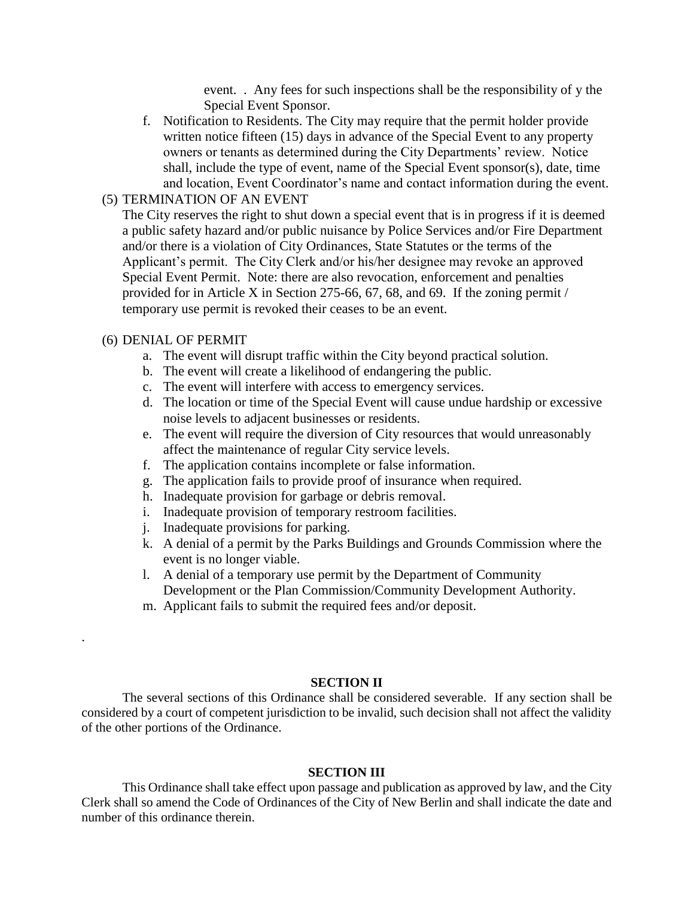event. . Any fees for such inspections shall be the responsibility of y the Special Event Sponsor.

f. Notification to Residents. The City may require that the permit holder provide written notice fifteen (15) days in advance of the Special Event to any property owners or tenants as determined during the City Departments' review. Notice shall, include the type of event, name of the Special Event sponsor(s), date, time and location, Event Coordinator's name and contact information during the event.

## (5) TERMINATION OF AN EVENT

The City reserves the right to shut down a special event that is in progress if it is deemed a public safety hazard and/or public nuisance by Police Services and/or Fire Department and/or there is a violation of City Ordinances, State Statutes or the terms of the Applicant's permit. The City Clerk and/or his/her designee may revoke an approved Special Event Permit. Note: there are also revocation, enforcement and penalties provided for in Article X in Section 275-66, 67, 68, and 69. If the zoning permit / temporary use permit is revoked their ceases to be an event.

## (6) DENIAL OF PERMIT

.

- a. The event will disrupt traffic within the City beyond practical solution.
- b. The event will create a likelihood of endangering the public.
- c. The event will interfere with access to emergency services.
- d. The location or time of the Special Event will cause undue hardship or excessive noise levels to adjacent businesses or residents.
- e. The event will require the diversion of City resources that would unreasonably affect the maintenance of regular City service levels.
- f. The application contains incomplete or false information.
- g. The application fails to provide proof of insurance when required.
- h. Inadequate provision for garbage or debris removal.
- i. Inadequate provision of temporary restroom facilities.
- j. Inadequate provisions for parking.
- k. A denial of a permit by the Parks Buildings and Grounds Commission where the event is no longer viable.
- l. A denial of a temporary use permit by the Department of Community Development or the Plan Commission/Community Development Authority.
- m. Applicant fails to submit the required fees and/or deposit.

### **SECTION II**

The several sections of this Ordinance shall be considered severable. If any section shall be considered by a court of competent jurisdiction to be invalid, such decision shall not affect the validity of the other portions of the Ordinance.

### **SECTION III**

This Ordinance shall take effect upon passage and publication as approved by law, and the City Clerk shall so amend the Code of Ordinances of the City of New Berlin and shall indicate the date and number of this ordinance therein.